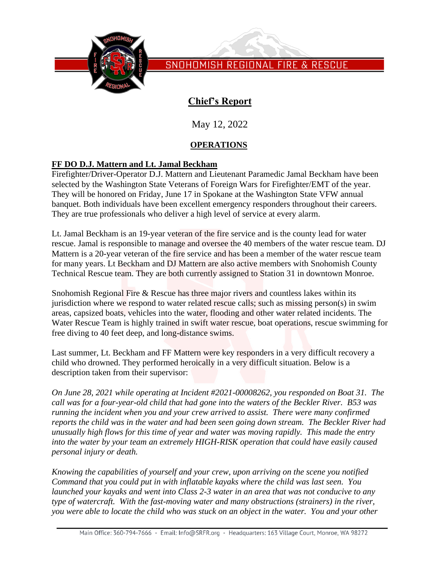

# **Chief's Report**

May 12, 2022

## **OPERATIONS**

## **FF DO D.J. Mattern and Lt. Jamal Beckham**

Firefighter/Driver-Operator D.J. Mattern and Lieutenant Paramedic Jamal Beckham have been selected by the Washington State Veterans of Foreign Wars for Firefighter/EMT of the year. They will be honored on Friday, June 17 in Spokane at the Washington State VFW annual banquet. Both individuals have been excellent emergency responders throughout their careers. They are true professionals who deliver a high level of service at every alarm.

Lt. Jamal Beckham is an 19-year veteran of the fire service and is the county lead for water rescue. Jamal is responsible to manage and oversee the 40 members of the water rescue team. DJ Mattern is a 20-year veteran of the fire service and has been a member of the water rescue team for many years. Lt Beckham and DJ Mattern are also active members with Snohomish County Technical Rescue team. They are both currently assigned to Station 31 in downtown Monroe.

Snohomish Regional Fire & Rescue has three major rivers and countless lakes within its jurisdiction where we respond to water related rescue calls; such as missing person(s) in swim areas, capsized boats, vehicles into the water, flooding and other water related incidents. The Water Rescue Team is highly trained in swift water rescue, boat operations, rescue swimming for free diving to 40 feet deep, and long-distance swims.

Last summer, Lt. Beckham and FF Mattern were key responders in a very difficult recovery a child who drowned. They performed heroically in a very difficult situation. Below is a description taken from their supervisor:

*On June 28, 2021 while operating at Incident #2021-00008262, you responded on Boat 31. The call was for a four-year-old child that had gone into the waters of the Beckler River. B53 was running the incident when you and your crew arrived to assist. There were many confirmed reports the child was in the water and had been seen going down stream. The Beckler River had unusually high flows for this time of year and water was moving rapidly. This made the entry into the water by your team an extremely HIGH-RISK operation that could have easily caused personal injury or death.*

*Knowing the capabilities of yourself and your crew, upon arriving on the scene you notified Command that you could put in with inflatable kayaks where the child was last seen. You launched your kayaks and went into Class 2-3 water in an area that was not conducive to any type of watercraft. With the fast-moving water and many obstructions (strainers) in the river, you were able to locate the child who was stuck on an object in the water. You and your other*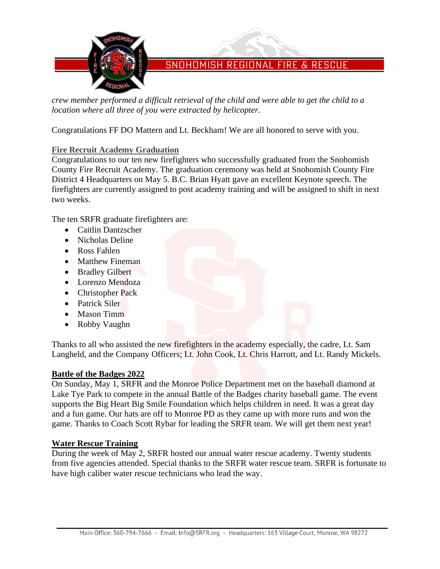

*crew member performed a difficult retrieval of the child and were able to get the child to a location where all three of you were extracted by helicopter.*

Congratulations FF DO Mattern and Lt. Beckham! We are all honored to serve with you.

### **Fire Recruit Academy Graduation**

Congratulations to our ten new firefighters who successfully graduated from the Snohomish County Fire Recruit Academy. The graduation ceremony was held at Snohomish County Fire District 4 Headquarters on May 5. B.C. Brian Hyatt gave an excellent Keynote speech. The firefighters are currently assigned to post academy training and will be assigned to shift in next two weeks.

The ten SRFR graduate firefighters are:

- Caitlin Dantzscher
- Nicholas Deline
- Ross Fahlen
- Matthew Fineman
- Bradley Gilbert
- Lorenzo Mendoza
- Christopher Pack
- Patrick Siler
- Mason Timm
- Robby Vaughn

Thanks to all who assisted the new firefighters in the academy especially, the cadre, Lt. Sam Langheld, and the Company Officers; Lt. John Cook, Lt. Chris Harrott, and Lt. Randy Mickels.

#### **Battle of the Badges 2022**

On Sunday, May 1, SRFR and the Monroe Police Department met on the baseball diamond at Lake Tye Park to compete in the annual Battle of the Badges charity baseball game. The event supports the Big Heart Big Smile Foundation which helps children in need. It was a great day and a fun game. Our hats are off to Monroe PD as they came up with more runs and won the game. Thanks to Coach Scott Rybar for leading the SRFR team. We will get them next year!

#### **Water Rescue Training**

During the week of May 2, SRFR hosted our annual water rescue academy. Twenty students from five agencies attended. Special thanks to the SRFR water rescue team. SRFR is fortunate to have high caliber water rescue technicians who lead the way.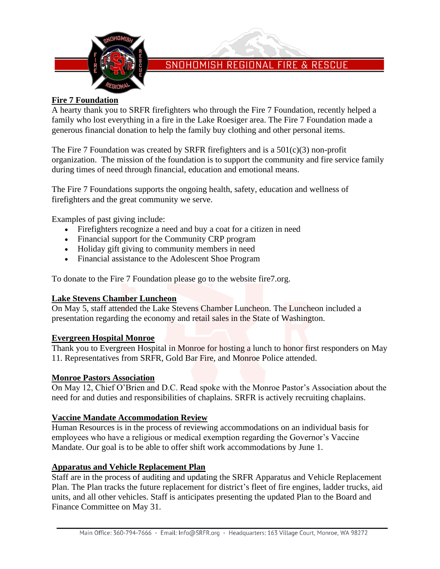

#### **Fire 7 Foundation**

A hearty thank you to SRFR firefighters who through the Fire 7 Foundation, recently helped a family who lost everything in a fire in the Lake Roesiger area. The Fire 7 Foundation made a generous financial donation to help the family buy clothing and other personal items.

The Fire 7 Foundation was created by SRFR firefighters and is a 501(c)(3) non-profit organization. The mission of the foundation is to support the community and fire service family during times of need through financial, education and emotional means.

The Fire 7 Foundations supports the ongoing health, safety, education and wellness of firefighters and the great community we serve.

Examples of past giving include:

- Firefighters recognize a need and buy a coat for a citizen in need
- Financial support for the Community CRP program
- Holiday gift giving to community members in need
- Financial assistance to the Adolescent Shoe Program

To donate to the Fire 7 Foundation please go to the website fire7.org.

#### **Lake Stevens Chamber Luncheon**

On May 5, staff attended the Lake Stevens Chamber Luncheon. The Luncheon included a presentation regarding the economy and retail sales in the State of Washington.

#### **Evergreen Hospital Monroe**

Thank you to Evergreen Hospital in Monroe for hosting a lunch to honor first responders on May 11. Representatives from SRFR, Gold Bar Fire, and Monroe Police attended.

#### **Monroe Pastors Association**

On May 12, Chief O'Brien and D.C. Read spoke with the Monroe Pastor's Association about the need for and duties and responsibilities of chaplains. SRFR is actively recruiting chaplains.

#### **Vaccine Mandate Accommodation Review**

Human Resources is in the process of reviewing accommodations on an individual basis for employees who have a religious or medical exemption regarding the Governor's Vaccine Mandate. Our goal is to be able to offer shift work accommodations by June 1.

#### **Apparatus and Vehicle Replacement Plan**

Staff are in the process of auditing and updating the SRFR Apparatus and Vehicle Replacement Plan. The Plan tracks the future replacement for district's fleet of fire engines, ladder trucks, aid units, and all other vehicles. Staff is anticipates presenting the updated Plan to the Board and Finance Committee on May 31.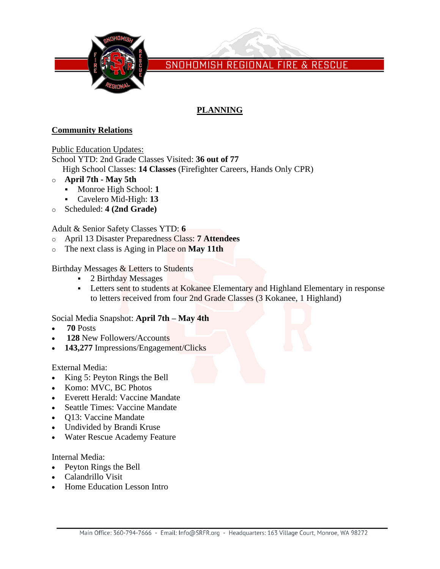

## **PLANNING**

### **Community Relations**

Public Education Updates:

School YTD: 2nd Grade Classes Visited: **36 out of 77** High School Classes: **14 Classes** (Firefighter Careers, Hands Only CPR)

- o **April 7th - May 5th**
	- Monroe High School: **1**
	- Cavelero Mid-High: **13**
- o Scheduled: **4 (2nd Grade)**

Adult & Senior Safety Classes YTD: **6**

- o April 13 Disaster Preparedness Class: **7 Attendees**
- o The next class is Aging in Place on **May 11th**

Birthday Messages & Letters to Students

- 2 Birthday Messages
- **EXECTED 1.1 Letters sent to students at Kokanee Elementary and Highland Elementary in response** to letters received from four 2nd Grade Classes (3 Kokanee, 1 Highland)

### Social Media Snapshot: **April 7th – May 4th**

- **70** Posts
- **128** New Followers/Accounts
- **143,277** Impressions/Engagement/Clicks

#### External Media:

- King 5: Peyton Rings the Bell
- Komo: MVC, BC Photos
- Everett Herald: Vaccine Mandate
- Seattle Times: Vaccine Mandate
- Q13: Vaccine Mandate
- Undivided by Brandi Kruse
- Water Rescue Academy Feature

Internal Media:

- Peyton Rings the Bell
- Calandrillo Visit
- Home Education Lesson Intro